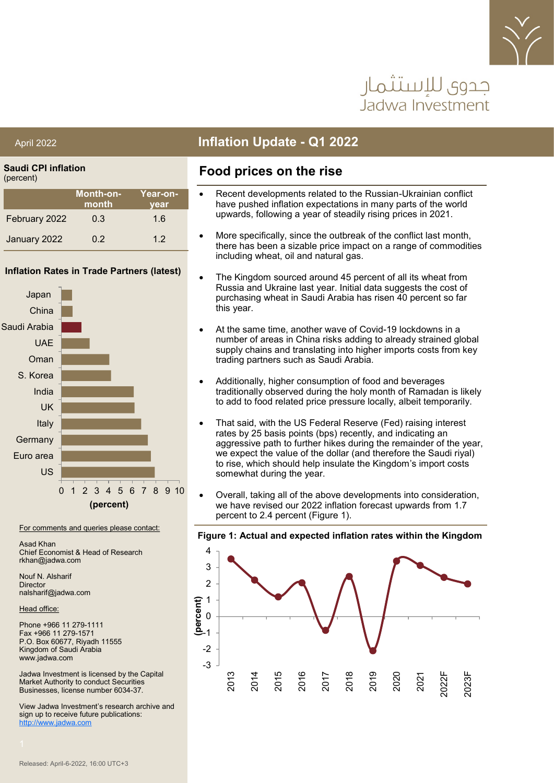

# حدوي للاستثمار Jadwa Investment

**Saudi CPI inflation** (percent)

| $\cdot$ .     |                           |                         |
|---------------|---------------------------|-------------------------|
|               | <b>Month-on-</b><br>month | <u>Year-on-</u><br>vear |
| February 2022 | 0.3                       | 1.6                     |
| January 2022  | 0.2                       | 1.2                     |

#### **Inflation Rates in Trade Partners (latest)**



For comments and queries please contact:

Asad Khan Chief Economist & Head of Research rkhan@jadwa.com

Nouf N. Alsharif **Director** nalsharif@jadwa.com

Head office:

Phone +966 11 279-1111 Fax +966 11 279-1571 P.O. Box 60677, Riyadh 11555 Kingdom of Saudi Arabia www.jadwa.com

Jadwa Investment is licensed by the Capital Market Authority to conduct Securities Businesses, license number 6034-37.

View Jadwa Investment's research archive and sign up to receive future publications: <http://www.jadwa.com>

# April 2022 **Inflation Update - Q1 2022**

### **Food prices on the rise**

- Recent developments related to the Russian-Ukrainian conflict have pushed inflation expectations in many parts of the world upwards, following a year of steadily rising prices in 2021.
- More specifically, since the outbreak of the conflict last month, there has been a sizable price impact on a range of commodities including wheat, oil and natural gas.
- The Kingdom sourced around 45 percent of all its wheat from Russia and Ukraine last year. Initial data suggests the cost of purchasing wheat in Saudi Arabia has risen 40 percent so far this year.
- At the same time, another wave of Covid-19 lockdowns in a number of areas in China risks adding to already strained global supply chains and translating into higher imports costs from key trading partners such as Saudi Arabia.
- Additionally, higher consumption of food and beverages traditionally observed during the holy month of Ramadan is likely to add to food related price pressure locally, albeit temporarily.
- That said, with the US Federal Reserve (Fed) raising interest rates by 25 basis points (bps) recently, and indicating an aggressive path to further hikes during the remainder of the year, we expect the value of the dollar (and therefore the Saudi riyal) to rise, which should help insulate the Kingdom's import costs somewhat during the year.
- Overall, taking all of the above developments into consideration, we have revised our 2022 inflation forecast upwards from 1.7 percent to 2.4 percent (Figure 1).

#### **Figure 1: Actual and expected inflation rates within the Kingdom**

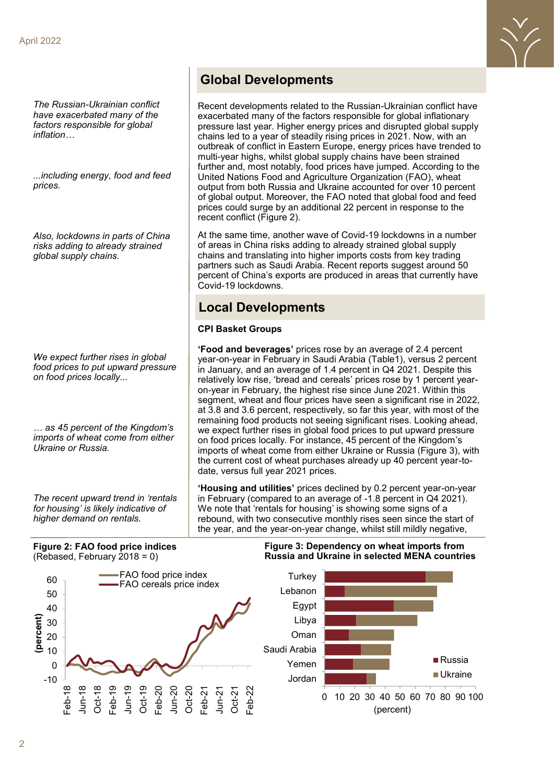*The Russian-Ukrainian conflict have exacerbated many of the factors responsible for global inflation…*

*...including energy, food and feed prices.*

*Also, lockdowns in parts of China risks adding to already strained global supply chains.* 

*We expect further rises in global food prices to put upward pressure on food prices locally...*

*… as 45 percent of the Kingdom's imports of wheat come from either Ukraine or Russia.*

*The recent upward trend in 'rentals for housing' is likely indicative of higher demand on rentals.* 

# **Global Developments**

Recent developments related to the Russian-Ukrainian conflict have exacerbated many of the factors responsible for global inflationary pressure last year. Higher energy prices and disrupted global supply chains led to a year of steadily rising prices in 2021. Now, with an outbreak of conflict in Eastern Europe, energy prices have trended to multi-year highs, whilst global supply chains have been strained further and, most notably, food prices have jumped. According to the United Nations Food and Agriculture Organization (FAO), wheat output from both Russia and Ukraine accounted for over 10 percent of global output. Moreover, the FAO noted that global food and feed prices could surge by an additional 22 percent in response to the recent conflict (Figure 2).

At the same time, another wave of Covid-19 lockdowns in a number of areas in China risks adding to already strained global supply chains and translating into higher imports costs from key trading partners such as Saudi Arabia. Recent reports suggest around 50 percent of China's exports are produced in areas that currently have Covid-19 lockdowns.

### **Local Developments**

#### **CPI Basket Groups**

**'Food and beverages'** prices rose by an average of 2.4 percent year-on-year in February in Saudi Arabia (Table1), versus 2 percent in January, and an average of 1.4 percent in Q4 2021. Despite this relatively low rise, 'bread and cereals' prices rose by 1 percent yearon-year in February, the highest rise since June 2021. Within this segment, wheat and flour prices have seen a significant rise in 2022, at 3.8 and 3.6 percent, respectively, so far this year, with most of the remaining food products not seeing significant rises. Looking ahead, we expect further rises in global food prices to put upward pressure on food prices locally. For instance, 45 percent of the Kingdom's imports of wheat come from either Ukraine or Russia (Figure 3), with the current cost of wheat purchases already up 40 percent year-todate, versus full year 2021 prices.

**'Housing and utilities'** prices declined by 0.2 percent year-on-year in February (compared to an average of -1.8 percent in Q4 2021). We note that 'rentals for housing' is showing some signs of a rebound, with two consecutive monthly rises seen since the start of the year, and the year-on-year change, whilst still mildly negative,

#### **Figure 2: FAO food price indices**  (Rebased, February 2018 = 0)



#### **Figure 3: Dependency on wheat imports from Russia and Ukraine in selected MENA countries**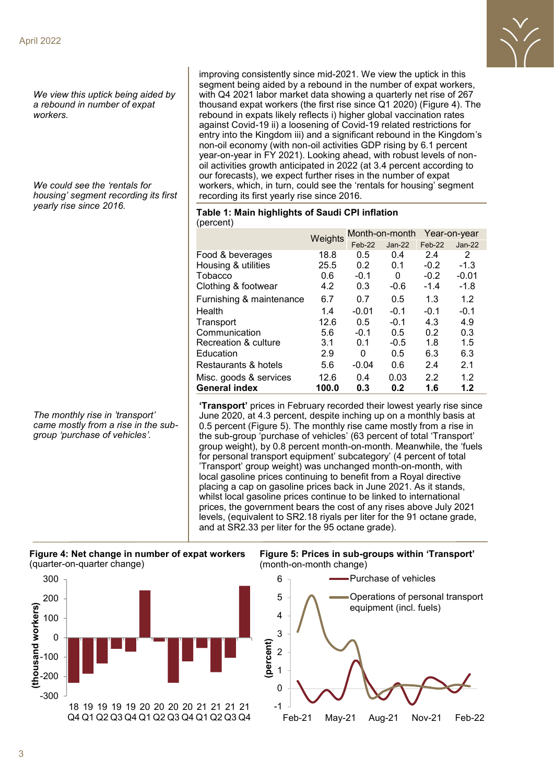*We view this uptick being aided by a rebound in number of expat workers.*

*We could see the 'rentals for housing' segment recording its first yearly rise since 2016.* 

*The monthly rise in 'transport' came mostly from a rise in the subgroup 'purchase of vehicles'.*



| <b>INGICOIL</b>          |         |                |          |              |          |
|--------------------------|---------|----------------|----------|--------------|----------|
|                          | Weights | Month-on-month |          | Year-on-year |          |
|                          |         | Feb-22         | $Jan-22$ | Feb-22       | $Jan-22$ |
| Food & beverages         | 18.8    | 0.5            | 0.4      | 2.4          | 2        |
| Housing & utilities      | 25.5    | 0.2            | 0.1      | $-0.2$       | $-1.3$   |
| Tobacco                  | 0.6     | $-0.1$         | 0        | $-0.2$       | $-0.01$  |
| Clothing & footwear      | 4.2     | 0.3            | $-0.6$   | $-1.4$       | $-1.8$   |
| Furnishing & maintenance | 6.7     | 0.7            | 0.5      | 1.3          | 1.2      |
| Health                   | 1.4     | $-0.01$        | $-0.1$   | $-0.1$       | $-0.1$   |
| Transport                | 12.6    | 0.5            | $-0.1$   | 4.3          | 4.9      |
| Communication            | 5.6     | $-0.1$         | 0.5      | 0.2          | 0.3      |
| Recreation & culture     | 3.1     | 0.1            | $-0.5$   | 1.8          | 1.5      |
| Education                | 2.9     | 0              | 0.5      | 6.3          | 6.3      |
| Restaurants & hotels     | 5.6     | $-0.04$        | 0.6      | 2.4          | 2.1      |
| Misc. goods & services   | 12.6    | 0.4            | 0.03     | 2.2          | 1.2      |
| <b>General index</b>     | 100.0   | 0.3            | 0.2      | 1.6          | 1.2      |

**'Transport'** prices in February recorded their lowest yearly rise since June 2020, at 4.3 percent, despite inching up on a monthly basis at 0.5 percent (Figure 5). The monthly rise came mostly from a rise in the sub-group 'purchase of vehicles' (63 percent of total 'Transport' group weight), by 0.8 percent month-on-month. Meanwhile, the 'fuels for personal transport equipment' subcategory' (4 percent of total 'Transport' group weight) was unchanged month-on-month, with local gasoline prices continuing to benefit from a Royal directive placing a cap on gasoline prices back in June 2021. As it stands, whilst local gasoline prices continue to be linked to international prices, the government bears the cost of any rises above July 2021 levels, (equivalent to SR2.18 riyals per liter for the 91 octane grade, and at SR2.33 per liter for the 95 octane grade).





**Figure 5: Prices in sub-groups within 'Transport'**  (month-on-month change)



#### **Table 1: Main highlights of Saudi CPI inflation**  $(normal)$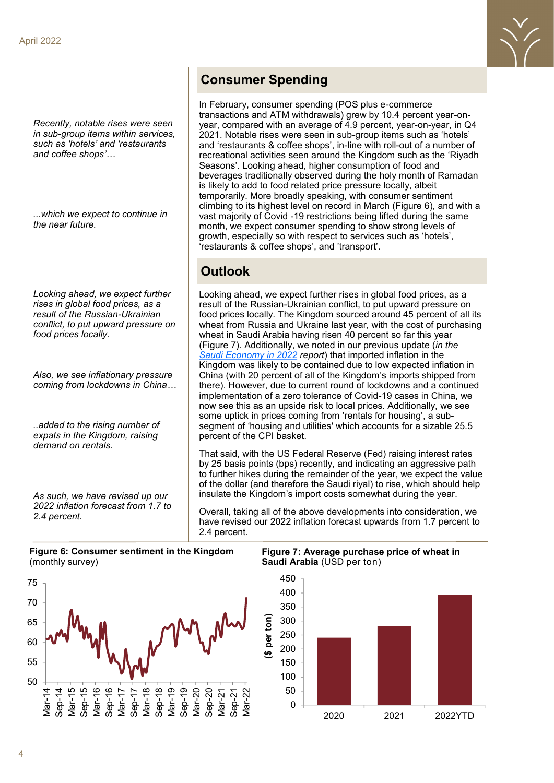*Recently, notable rises were seen in sub-group items within services, such as 'hotels' and 'restaurants and coffee shops'…*

*...which we expect to continue in the near future.* 

*Looking ahead, we expect further rises in global food prices, as a result of the Russian-Ukrainian conflict, to put upward pressure on food prices locally.* 

*Also, we see inflationary pressure coming from lockdowns in China…*

*..added to the rising number of expats in the Kingdom, raising demand on rentals.* 

*As such, we have revised up our 2022 inflation forecast from 1.7 to 2.4 percent.* 

# **Consumer Spending**

In February, consumer spending (POS plus e-commerce transactions and ATM withdrawals) grew by 10.4 percent year-onyear, compared with an average of 4.9 percent, year-on-year, in Q4 2021. Notable rises were seen in sub-group items such as 'hotels' and 'restaurants & coffee shops', in-line with roll-out of a number of recreational activities seen around the Kingdom such as the 'Riyadh Seasons'. Looking ahead, higher consumption of food and beverages traditionally observed during the holy month of Ramadan is likely to add to food related price pressure locally, albeit temporarily. More broadly speaking, with consumer sentiment climbing to its highest level on record in March (Figure 6), and with a vast majority of Covid -19 restrictions being lifted during the same month, we expect consumer spending to show strong levels of growth, especially so with respect to services such as 'hotels', 'restaurants & coffee shops', and 'transport'.

# **Outlook**

Looking ahead, we expect further rises in global food prices, as a result of the Russian-Ukrainian conflict, to put upward pressure on food prices locally. The Kingdom sourced around 45 percent of all its wheat from Russia and Ukraine last year, with the cost of purchasing wheat in Saudi Arabia having risen 40 percent so far this year (Figure 7). Additionally, we noted in our previous update (*in the [Saudi Economy in 2022](https://jadwa.com/en/node/14608) report*) that imported inflation in the Kingdom was likely to be contained due to low expected inflation in China (with 20 percent of all of the Kingdom's imports shipped from there). However, due to current round of lockdowns and a continued implementation of a zero tolerance of Covid-19 cases in China, we now see this as an upside risk to local prices. Additionally, we see some uptick in prices coming from 'rentals for housing', a subsegment of 'housing and utilities' which accounts for a sizable 25.5 percent of the CPI basket.

That said, with the US Federal Reserve (Fed) raising interest rates by 25 basis points (bps) recently, and indicating an aggressive path to further hikes during the remainder of the year, we expect the value of the dollar (and therefore the Saudi riyal) to rise, which should help insulate the Kingdom's import costs somewhat during the year.

Overall, taking all of the above developments into consideration, we have revised our 2022 inflation forecast upwards from 1.7 percent to 2.4 percent.

**Figure 6: Consumer sentiment in the Kingdom** (monthly survey)



**Figure 7: Average purchase price of wheat in Saudi Arabia** (USD per ton)